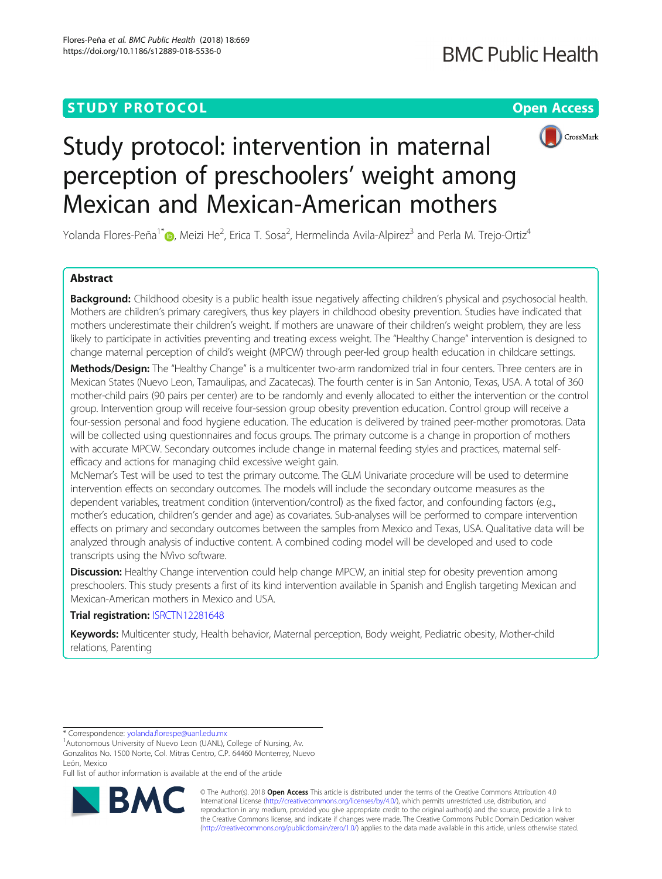# **STUDY PROTOCOL CONSUMING THE CONSUMING OPEN ACCESS**



# Study protocol: intervention in maternal perception of preschoolers' weight among Mexican and Mexican-American mothers

Yolanda Flores-Peña<sup>1\*</sup> $\bullet$ [,](http://orcid.org/0000-0001-6200-6553) Meizi He<sup>2</sup>, Erica T. Sosa<sup>2</sup>, Hermelinda Avila-Alpirez<sup>3</sup> and Perla M. Trejo-Ortiz<sup>4</sup>

# Abstract

Background: Childhood obesity is a public health issue negatively affecting children's physical and psychosocial health. Mothers are children's primary caregivers, thus key players in childhood obesity prevention. Studies have indicated that mothers underestimate their children's weight. If mothers are unaware of their children's weight problem, they are less likely to participate in activities preventing and treating excess weight. The "Healthy Change" intervention is designed to change maternal perception of child's weight (MPCW) through peer-led group health education in childcare settings.

Methods/Design: The "Healthy Change" is a multicenter two-arm randomized trial in four centers. Three centers are in Mexican States (Nuevo Leon, Tamaulipas, and Zacatecas). The fourth center is in San Antonio, Texas, USA. A total of 360 mother-child pairs (90 pairs per center) are to be randomly and evenly allocated to either the intervention or the control group. Intervention group will receive four-session group obesity prevention education. Control group will receive a four-session personal and food hygiene education. The education is delivered by trained peer-mother promotoras. Data will be collected using questionnaires and focus groups. The primary outcome is a change in proportion of mothers with accurate MPCW. Secondary outcomes include change in maternal feeding styles and practices, maternal selfefficacy and actions for managing child excessive weight gain.

McNemar's Test will be used to test the primary outcome. The GLM Univariate procedure will be used to determine intervention effects on secondary outcomes. The models will include the secondary outcome measures as the dependent variables, treatment condition (intervention/control) as the fixed factor, and confounding factors (e.g., mother's education, children's gender and age) as covariates. Sub-analyses will be performed to compare intervention effects on primary and secondary outcomes between the samples from Mexico and Texas, USA. Qualitative data will be analyzed through analysis of inductive content. A combined coding model will be developed and used to code transcripts using the NVivo software.

Discussion: Healthy Change intervention could help change MPCW, an initial step for obesity prevention among preschoolers. This study presents a first of its kind intervention available in Spanish and English targeting Mexican and Mexican-American mothers in Mexico and USA.

# Trial registration: [ISRCTN12281648](https://doi.org/10.1186/ISRCTN12281648)

Keywords: Multicenter study, Health behavior, Maternal perception, Body weight, Pediatric obesity, Mother-child relations, Parenting

\* Correspondence: [yolanda.florespe@uanl.edu.mx](mailto:yolanda.florespe@uanl.edu.mx) <sup>1</sup>

Full list of author information is available at the end of the article



© The Author(s). 2018 Open Access This article is distributed under the terms of the Creative Commons Attribution 4.0 International License [\(http://creativecommons.org/licenses/by/4.0/](http://creativecommons.org/licenses/by/4.0/)), which permits unrestricted use, distribution, and reproduction in any medium, provided you give appropriate credit to the original author(s) and the source, provide a link to the Creative Commons license, and indicate if changes were made. The Creative Commons Public Domain Dedication waiver [\(http://creativecommons.org/publicdomain/zero/1.0/](http://creativecommons.org/publicdomain/zero/1.0/)) applies to the data made available in this article, unless otherwise stated.

<sup>&</sup>lt;sup>1</sup> Autonomous University of Nuevo Leon (UANL), College of Nursing, Av. Gonzalitos No. 1500 Norte, Col. Mitras Centro, C.P. 64460 Monterrey, Nuevo León, Mexico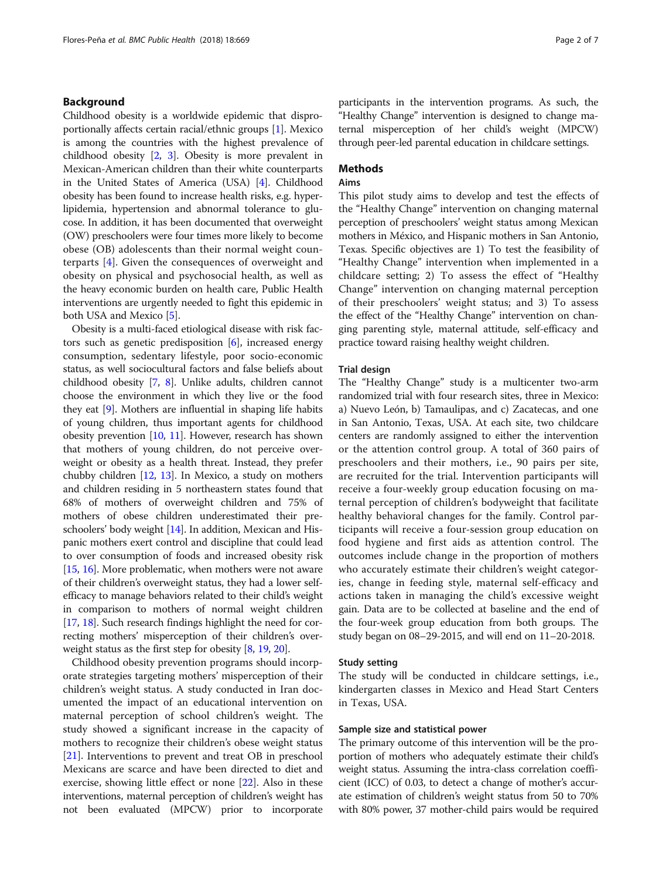# Background

Childhood obesity is a worldwide epidemic that disproportionally affects certain racial/ethnic groups [[1\]](#page-5-0). Mexico is among the countries with the highest prevalence of childhood obesity [[2](#page-5-0), [3\]](#page-5-0). Obesity is more prevalent in Mexican-American children than their white counterparts in the United States of America (USA) [\[4](#page-5-0)]. Childhood obesity has been found to increase health risks, e.g. hyperlipidemia, hypertension and abnormal tolerance to glucose. In addition, it has been documented that overweight (OW) preschoolers were four times more likely to become obese (OB) adolescents than their normal weight counterparts [[4\]](#page-5-0). Given the consequences of overweight and obesity on physical and psychosocial health, as well as the heavy economic burden on health care, Public Health interventions are urgently needed to fight this epidemic in both USA and Mexico [\[5](#page-5-0)].

Obesity is a multi-faced etiological disease with risk factors such as genetic predisposition  $[6]$ , increased energy consumption, sedentary lifestyle, poor socio-economic status, as well sociocultural factors and false beliefs about childhood obesity [\[7,](#page-5-0) [8\]](#page-5-0). Unlike adults, children cannot choose the environment in which they live or the food they eat [\[9](#page-5-0)]. Mothers are influential in shaping life habits of young children, thus important agents for childhood obesity prevention  $[10, 11]$  $[10, 11]$  $[10, 11]$  $[10, 11]$ . However, research has shown that mothers of young children, do not perceive overweight or obesity as a health threat. Instead, they prefer chubby children [\[12,](#page-5-0) [13\]](#page-5-0). In Mexico, a study on mothers and children residing in 5 northeastern states found that 68% of mothers of overweight children and 75% of mothers of obese children underestimated their preschoolers' body weight [[14](#page-5-0)]. In addition, Mexican and Hispanic mothers exert control and discipline that could lead to over consumption of foods and increased obesity risk [[15](#page-5-0), [16\]](#page-5-0). More problematic, when mothers were not aware of their children's overweight status, they had a lower selfefficacy to manage behaviors related to their child's weight in comparison to mothers of normal weight children [[17](#page-5-0), [18\]](#page-6-0). Such research findings highlight the need for correcting mothers' misperception of their children's overweight status as the first step for obesity [[8](#page-5-0), [19,](#page-6-0) [20\]](#page-6-0).

Childhood obesity prevention programs should incorporate strategies targeting mothers' misperception of their children's weight status. A study conducted in Iran documented the impact of an educational intervention on maternal perception of school children's weight. The study showed a significant increase in the capacity of mothers to recognize their children's obese weight status [[21\]](#page-6-0). Interventions to prevent and treat OB in preschool Mexicans are scarce and have been directed to diet and exercise, showing little effect or none [[22\]](#page-6-0). Also in these interventions, maternal perception of children's weight has not been evaluated (MPCW) prior to incorporate participants in the intervention programs. As such, the "Healthy Change" intervention is designed to change maternal misperception of her child's weight (MPCW) through peer-led parental education in childcare settings.

# **Methods**

# Aims

This pilot study aims to develop and test the effects of the "Healthy Change" intervention on changing maternal perception of preschoolers' weight status among Mexican mothers in México, and Hispanic mothers in San Antonio, Texas. Specific objectives are 1) To test the feasibility of "Healthy Change" intervention when implemented in a childcare setting; 2) To assess the effect of "Healthy Change" intervention on changing maternal perception of their preschoolers' weight status; and 3) To assess the effect of the "Healthy Change" intervention on changing parenting style, maternal attitude, self-efficacy and practice toward raising healthy weight children.

# Trial design

The "Healthy Change" study is a multicenter two-arm randomized trial with four research sites, three in Mexico: a) Nuevo León, b) Tamaulipas, and c) Zacatecas, and one in San Antonio, Texas, USA. At each site, two childcare centers are randomly assigned to either the intervention or the attention control group. A total of 360 pairs of preschoolers and their mothers, i.e., 90 pairs per site, are recruited for the trial. Intervention participants will receive a four-weekly group education focusing on maternal perception of children's bodyweight that facilitate healthy behavioral changes for the family. Control participants will receive a four-session group education on food hygiene and first aids as attention control. The outcomes include change in the proportion of mothers who accurately estimate their children's weight categories, change in feeding style, maternal self-efficacy and actions taken in managing the child's excessive weight gain. Data are to be collected at baseline and the end of the four-week group education from both groups. The study began on 08–29-2015, and will end on 11–20-2018.

# Study setting

The study will be conducted in childcare settings, i.e., kindergarten classes in Mexico and Head Start Centers in Texas, USA.

# Sample size and statistical power

The primary outcome of this intervention will be the proportion of mothers who adequately estimate their child's weight status. Assuming the intra-class correlation coefficient (ICC) of 0.03, to detect a change of mother's accurate estimation of children's weight status from 50 to 70% with 80% power, 37 mother-child pairs would be required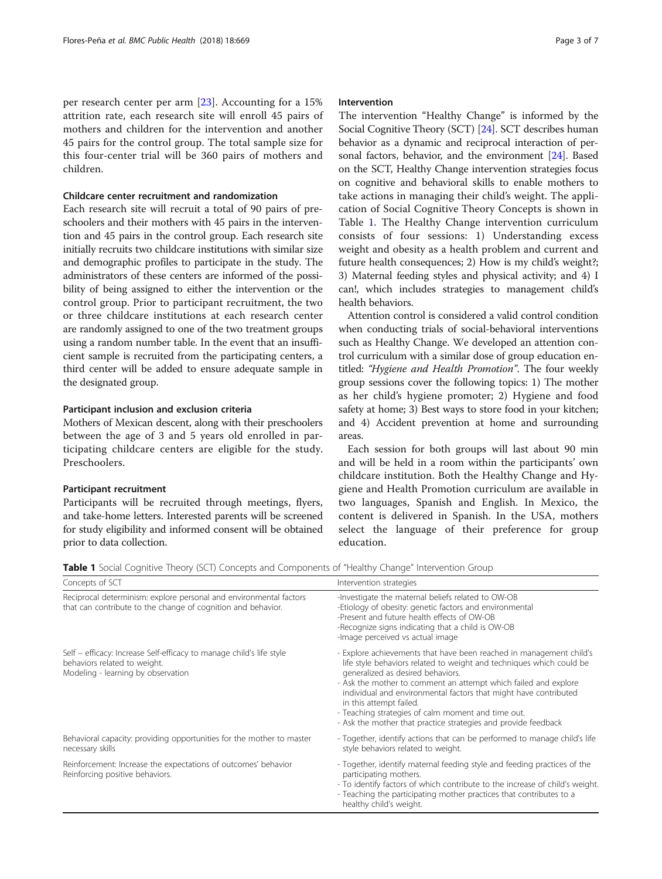per research center per arm [[23\]](#page-6-0). Accounting for a 15% attrition rate, each research site will enroll 45 pairs of mothers and children for the intervention and another 45 pairs for the control group. The total sample size for this four-center trial will be 360 pairs of mothers and children.

# Childcare center recruitment and randomization

Each research site will recruit a total of 90 pairs of preschoolers and their mothers with 45 pairs in the intervention and 45 pairs in the control group. Each research site initially recruits two childcare institutions with similar size and demographic profiles to participate in the study. The administrators of these centers are informed of the possibility of being assigned to either the intervention or the control group. Prior to participant recruitment, the two or three childcare institutions at each research center are randomly assigned to one of the two treatment groups using a random number table. In the event that an insufficient sample is recruited from the participating centers, a third center will be added to ensure adequate sample in the designated group.

# Participant inclusion and exclusion criteria

Mothers of Mexican descent, along with their preschoolers between the age of 3 and 5 years old enrolled in participating childcare centers are eligible for the study. Preschoolers.

# Participant recruitment

Participants will be recruited through meetings, flyers, and take-home letters. Interested parents will be screened for study eligibility and informed consent will be obtained prior to data collection.

# Intervention

The intervention "Healthy Change" is informed by the Social Cognitive Theory (SCT) [[24\]](#page-6-0). SCT describes human behavior as a dynamic and reciprocal interaction of personal factors, behavior, and the environment [\[24\]](#page-6-0). Based on the SCT, Healthy Change intervention strategies focus on cognitive and behavioral skills to enable mothers to take actions in managing their child's weight. The application of Social Cognitive Theory Concepts is shown in Table 1. The Healthy Change intervention curriculum consists of four sessions: 1) Understanding excess weight and obesity as a health problem and current and future health consequences; 2) How is my child's weight?; 3) Maternal feeding styles and physical activity; and 4) I can!, which includes strategies to management child's health behaviors.

Attention control is considered a valid control condition when conducting trials of social-behavioral interventions such as Healthy Change. We developed an attention control curriculum with a similar dose of group education entitled: "Hygiene and Health Promotion". The four weekly group sessions cover the following topics: 1) The mother as her child's hygiene promoter; 2) Hygiene and food safety at home; 3) Best ways to store food in your kitchen; and 4) Accident prevention at home and surrounding areas.

Each session for both groups will last about 90 min and will be held in a room within the participants' own childcare institution. Both the Healthy Change and Hygiene and Health Promotion curriculum are available in two languages, Spanish and English. In Mexico, the content is delivered in Spanish. In the USA, mothers select the language of their preference for group education.

Table 1 Social Cognitive Theory (SCT) Concepts and Components of "Healthy Change" Intervention Group

| Concepts of SCT                                                                                                                            | Intervention strategies                                                                                                                                                                                                                                                                                                                                                                                                                                                    |
|--------------------------------------------------------------------------------------------------------------------------------------------|----------------------------------------------------------------------------------------------------------------------------------------------------------------------------------------------------------------------------------------------------------------------------------------------------------------------------------------------------------------------------------------------------------------------------------------------------------------------------|
| Reciprocal determinism: explore personal and environmental factors<br>that can contribute to the change of cognition and behavior.         | -Investigate the maternal beliefs related to OW-OB<br>-Etiology of obesity: genetic factors and environmental<br>-Present and future health effects of OW-OB<br>-Recognize signs indicating that a child is OW-OB<br>-Image perceived vs actual image                                                                                                                                                                                                                      |
| Self - efficacy: Increase Self-efficacy to manage child's life style<br>behaviors related to weight.<br>Modeling - learning by observation | - Explore achievements that have been reached in management child's<br>life style behaviors related to weight and techniques which could be<br>generalized as desired behaviors.<br>- Ask the mother to comment an attempt which failed and explore<br>individual and environmental factors that might have contributed<br>in this attempt failed.<br>- Teaching strategies of calm moment and time out.<br>- Ask the mother that practice strategies and provide feedback |
| Behavioral capacity: providing opportunities for the mother to master<br>necessary skills                                                  | - Together, identify actions that can be performed to manage child's life<br>style behaviors related to weight.                                                                                                                                                                                                                                                                                                                                                            |
| Reinforcement: Increase the expectations of outcomes' behavior<br>Reinforcing positive behaviors.                                          | - Together, identify maternal feeding style and feeding practices of the<br>participating mothers.<br>- To identify factors of which contribute to the increase of child's weight.<br>- Teaching the participating mother practices that contributes to a<br>healthy child's weight.                                                                                                                                                                                       |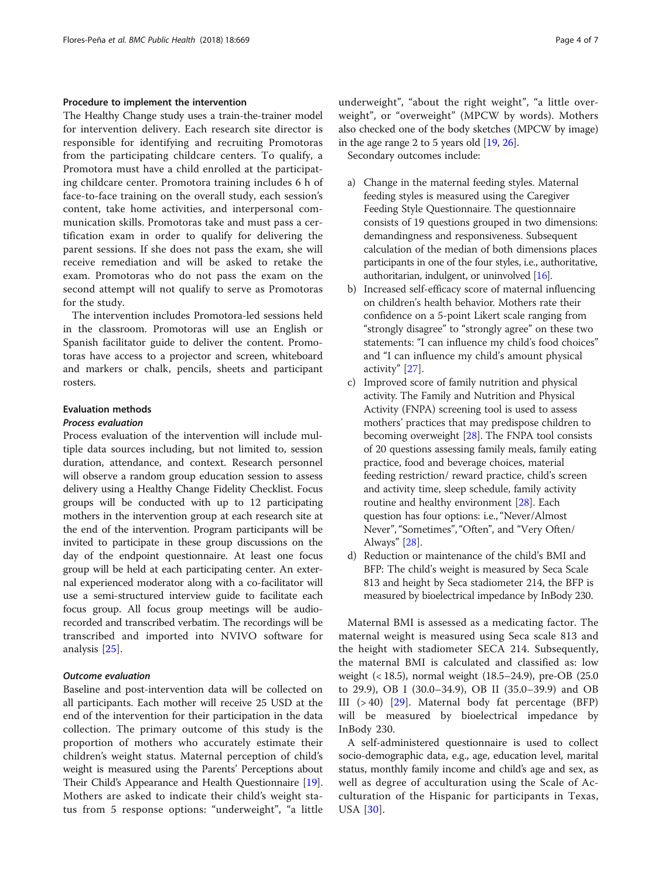# Procedure to implement the intervention

The Healthy Change study uses a train-the-trainer model for intervention delivery. Each research site director is responsible for identifying and recruiting Promotoras from the participating childcare centers. To qualify, a Promotora must have a child enrolled at the participating childcare center. Promotora training includes 6 h of face-to-face training on the overall study, each session's content, take home activities, and interpersonal communication skills. Promotoras take and must pass a certification exam in order to qualify for delivering the parent sessions. If she does not pass the exam, she will receive remediation and will be asked to retake the exam. Promotoras who do not pass the exam on the second attempt will not qualify to serve as Promotoras for the study.

The intervention includes Promotora-led sessions held in the classroom. Promotoras will use an English or Spanish facilitator guide to deliver the content. Promotoras have access to a projector and screen, whiteboard and markers or chalk, pencils, sheets and participant rosters.

# Evaluation methods

# **Process evaluation**

Process evaluation Process evaluation of the intervention will include multiple data sources including, but not limited to, session duration, attendance, and context. Research personnel will observe a random group education session to assess delivery using a Healthy Change Fidelity Checklist. Focus groups will be conducted with up to 12 participating mothers in the intervention group at each research site at the end of the intervention. Program participants will be invited to participate in these group discussions on the day of the endpoint questionnaire. At least one focus group will be held at each participating center. An external experienced moderator along with a co-facilitator will use a semi-structured interview guide to facilitate each focus group. All focus group meetings will be audiorecorded and transcribed verbatim. The recordings will be transcribed and imported into NVIVO software for analysis [[25\]](#page-6-0).

# **Outcome evaluation**

Baseline and post-intervention data will be collected on all participants. Each mother will receive 25 USD at the end of the intervention for their participation in the data collection. The primary outcome of this study is the proportion of mothers who accurately estimate their children's weight status. Maternal perception of child's weight is measured using the Parents' Perceptions about Their Child's Appearance and Health Questionnaire [[19](#page-6-0)]. Mothers are asked to indicate their child's weight status from 5 response options: "underweight", "a little

underweight", "about the right weight", "a little overweight", or "overweight" (MPCW by words). Mothers also checked one of the body sketches (MPCW by image) in the age range 2 to 5 years old [\[19,](#page-6-0) [26\]](#page-6-0).

Secondary outcomes include:

- a) Change in the maternal feeding styles. Maternal feeding styles is measured using the Caregiver Feeding Style Questionnaire. The questionnaire consists of 19 questions grouped in two dimensions: demandingness and responsiveness. Subsequent calculation of the median of both dimensions places participants in one of the four styles, i.e., authoritative, authoritarian, indulgent, or uninvolved [\[16](#page-5-0)].
- b) Increased self-efficacy score of maternal influencing on children's health behavior. Mothers rate their confidence on a 5-point Likert scale ranging from "strongly disagree" to "strongly agree" on these two statements: "I can influence my child's food choices" and "I can influence my child's amount physical activity" [[27](#page-6-0)].
- c) Improved score of family nutrition and physical activity. The Family and Nutrition and Physical Activity (FNPA) screening tool is used to assess mothers' practices that may predispose children to becoming overweight [[28](#page-6-0)]. The FNPA tool consists of 20 questions assessing family meals, family eating practice, food and beverage choices, material feeding restriction/ reward practice, child's screen and activity time, sleep schedule, family activity routine and healthy environment [[28](#page-6-0)]. Each question has four options: i.e.,"Never/Almost Never","Sometimes","Often", and "Very Often/ Always" [\[28\]](#page-6-0).
- d) Reduction or maintenance of the child's BMI and BFP: The child's weight is measured by Seca Scale 813 and height by Seca stadiometer 214, the BFP is measured by bioelectrical impedance by InBody 230.

Maternal BMI is assessed as a medicating factor. The maternal weight is measured using Seca scale 813 and the height with stadiometer SECA 214. Subsequently, the maternal BMI is calculated and classified as: low weight (< 18.5), normal weight (18.5–24.9), pre-OB (25.0 to 29.9), OB I (30.0–34.9), OB II (35.0–39.9) and OB III (> 40) [[29\]](#page-6-0). Maternal body fat percentage (BFP) will be measured by bioelectrical impedance by InBody 230.

A self-administered questionnaire is used to collect socio-demographic data, e.g., age, education level, marital status, monthly family income and child's age and sex, as well as degree of acculturation using the Scale of Acculturation of the Hispanic for participants in Texas, USA [[30\]](#page-6-0).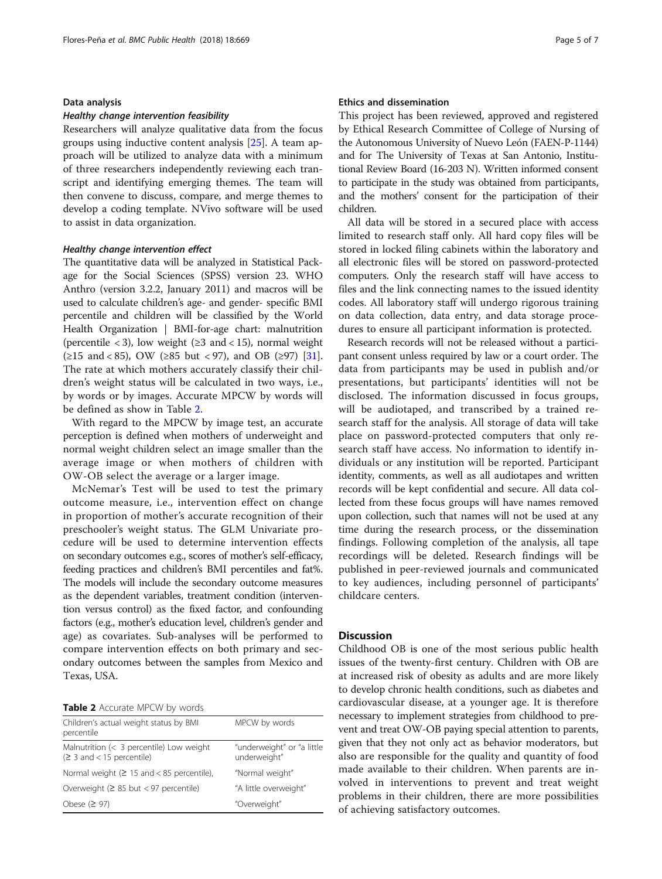# Data analysis

Researchers will analyze qualitative data from the focus groups using inductive content analysis [[25](#page-6-0)]. A team approach will be utilized to analyze data with a minimum of three researchers independently reviewing each transcript and identifying emerging themes. The team will then convene to discuss, compare, and merge themes to develop a coding template. NVivo software will be used to assist in data organization.

The quantitative data will be analyzed in Statistical Package for the Social Sciences (SPSS) version 23. WHO Anthro (version 3.2.2, January 2011) and macros will be used to calculate children's age- and gender- specific BMI percentile and children will be classified by the World Health Organization | BMI-for-age chart: malnutrition (percentile < 3), low weight ( $\geq$ 3 and < 15), normal weight (≥15 and < 85), OW (≥85 but < 97), and OB (≥97) [[31](#page-6-0)]. The rate at which mothers accurately classify their children's weight status will be calculated in two ways, i.e., by words or by images. Accurate MPCW by words will be defined as show in Table 2.

With regard to the MPCW by image test, an accurate perception is defined when mothers of underweight and normal weight children select an image smaller than the average image or when mothers of children with OW-OB select the average or a larger image.

McNemar's Test will be used to test the primary outcome measure, i.e., intervention effect on change in proportion of mother's accurate recognition of their preschooler's weight status. The GLM Univariate procedure will be used to determine intervention effects on secondary outcomes e.g., scores of mother's self-efficacy, feeding practices and children's BMI percentiles and fat%. The models will include the secondary outcome measures as the dependent variables, treatment condition (intervention versus control) as the fixed factor, and confounding factors (e.g., mother's education level, children's gender and age) as covariates. Sub-analyses will be performed to compare intervention effects on both primary and secondary outcomes between the samples from Mexico and Texas, USA.

Table 2 Accurate MPCW by words

| Children's actual weight status by BMI<br>percentile                      | MPCW by words                              |
|---------------------------------------------------------------------------|--------------------------------------------|
| Malnutrition $(<$ 3 percentile) Low weight<br>$(≥ 3$ and < 15 percentile) | "underweight" or "a little<br>underweight" |
| Normal weight ( $\geq 15$ and < 85 percentile),                           | "Normal weight"                            |
| Overweight ( $\geq$ 85 but < 97 percentile)                               | "A little overweight"                      |
| Obese $(297)$                                                             | "Overweight"                               |

# Ethics and dissemination

This project has been reviewed, approved and registered by Ethical Research Committee of College of Nursing of the Autonomous University of Nuevo León (FAEN-P-1144) and for The University of Texas at San Antonio, Institutional Review Board (16-203 N). Written informed consent to participate in the study was obtained from participants, and the mothers' consent for the participation of their children.

All data will be stored in a secured place with access limited to research staff only. All hard copy files will be stored in locked filing cabinets within the laboratory and all electronic files will be stored on password-protected computers. Only the research staff will have access to files and the link connecting names to the issued identity codes. All laboratory staff will undergo rigorous training on data collection, data entry, and data storage procedures to ensure all participant information is protected.

Research records will not be released without a participant consent unless required by law or a court order. The data from participants may be used in publish and/or presentations, but participants' identities will not be disclosed. The information discussed in focus groups, will be audiotaped, and transcribed by a trained research staff for the analysis. All storage of data will take place on password-protected computers that only research staff have access. No information to identify individuals or any institution will be reported. Participant identity, comments, as well as all audiotapes and written records will be kept confidential and secure. All data collected from these focus groups will have names removed upon collection, such that names will not be used at any time during the research process, or the dissemination findings. Following completion of the analysis, all tape recordings will be deleted. Research findings will be published in peer-reviewed journals and communicated to key audiences, including personnel of participants' childcare centers.

# **Discussion**

Childhood OB is one of the most serious public health issues of the twenty-first century. Children with OB are at increased risk of obesity as adults and are more likely to develop chronic health conditions, such as diabetes and cardiovascular disease, at a younger age. It is therefore necessary to implement strategies from childhood to prevent and treat OW-OB paying special attention to parents, given that they not only act as behavior moderators, but also are responsible for the quality and quantity of food made available to their children. When parents are involved in interventions to prevent and treat weight problems in their children, there are more possibilities of achieving satisfactory outcomes.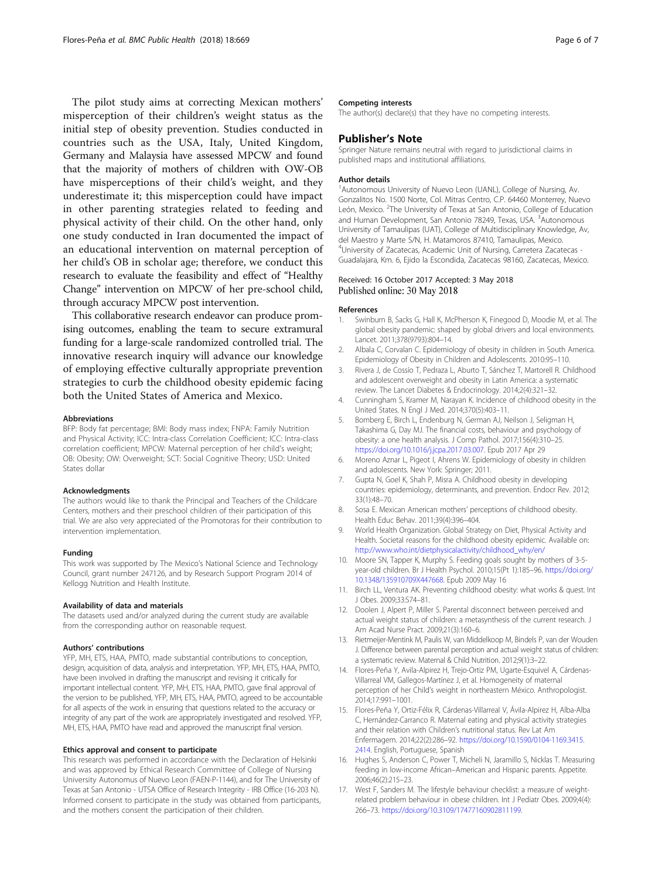<span id="page-5-0"></span>The pilot study aims at correcting Mexican mothers' misperception of their children's weight status as the initial step of obesity prevention. Studies conducted in countries such as the USA, Italy, United Kingdom, Germany and Malaysia have assessed MPCW and found that the majority of mothers of children with OW-OB have misperceptions of their child's weight, and they underestimate it; this misperception could have impact in other parenting strategies related to feeding and physical activity of their child. On the other hand, only one study conducted in Iran documented the impact of an educational intervention on maternal perception of her child's OB in scholar age; therefore, we conduct this research to evaluate the feasibility and effect of "Healthy Change" intervention on MPCW of her pre-school child, through accuracy MPCW post intervention.

This collaborative research endeavor can produce promising outcomes, enabling the team to secure extramural funding for a large-scale randomized controlled trial. The innovative research inquiry will advance our knowledge of employing effective culturally appropriate prevention strategies to curb the childhood obesity epidemic facing both the United States of America and Mexico.

### Abbreviations

BFP: Body fat percentage; BMI: Body mass index; FNPA: Family Nutrition and Physical Activity; ICC: Intra-class Correlation Coefficient; ICC: Intra-class correlation coefficient; MPCW: Maternal perception of her child's weight; OB: Obesity; OW: Overweight; SCT: Social Cognitive Theory; USD: United States dollar

### Acknowledgments

The authors would like to thank the Principal and Teachers of the Childcare Centers, mothers and their preschool children of their participation of this trial. We are also very appreciated of the Promotoras for their contribution to intervention implementation.

## Funding

This work was supported by The Mexico's National Science and Technology Council, grant number 247126, and by Research Support Program 2014 of Kellogg Nutrition and Health Institute.

### Availability of data and materials

The datasets used and/or analyzed during the current study are available from the corresponding author on reasonable request.

### Authors' contributions

YFP, MH, ETS, HAA, PMTO, made substantial contributions to conception, design, acquisition of data, analysis and interpretation. YFP, MH, ETS, HAA, PMTO, have been involved in drafting the manuscript and revising it critically for important intellectual content. YFP, MH, ETS, HAA, PMTO, gave final approval of the version to be published, YFP, MH, ETS, HAA, PMTO, agreed to be accountable for all aspects of the work in ensuring that questions related to the accuracy or integrity of any part of the work are appropriately investigated and resolved. YFP, MH, ETS, HAA, PMTO have read and approved the manuscript final version.

# Ethics approval and consent to participate

This research was performed in accordance with the Declaration of Helsinki and was approved by Ethical Research Committee of College of Nursing University Autonomus of Nuevo Leon (FAEN-P-1144), and for The University of Texas at San Antonio - UTSA Office of Research Integrity - IRB Office (16-203 N). Informed consent to participate in the study was obtained from participants, and the mothers consent the participation of their children.

# Competing interests

The author(s) declare(s) that they have no competing interests.

# Publisher's Note

Springer Nature remains neutral with regard to jurisdictional claims in published maps and institutional affiliations.

# Author details

<sup>1</sup> Autonomous University of Nuevo Leon (UANL), College of Nursing, Av. Gonzalitos No. 1500 Norte, Col. Mitras Centro, C.P. 64460 Monterrey, Nuevo León, Mexico. <sup>2</sup>The University of Texas at San Antonio, College of Education and Human Development, San Antonio 78249, Texas, USA. <sup>3</sup>Autonomous University of Tamaulipas (UAT), College of Multidisciplinary Knowledge, Av, del Maestro y Marte S/N, H. Matamoros 87410, Tamaulipas, Mexico. 4 University of Zacatecas, Academic Unit of Nursing, Carretera Zacatecas - Guadalajara, Km. 6, Ejido la Escondida, Zacatecas 98160, Zacatecas, Mexico.

# Received: 16 October 2017 Accepted: 3 May 2018 Published online: 30 May 2018

### References

- 1. Swinburn B, Sacks G, Hall K, McPherson K, Finegood D, Moodie M, et al. The global obesity pandemic: shaped by global drivers and local environments. Lancet. 2011;378(9793):804–14.
- 2. Albala C, Corvalan C. Epidemiology of obesity in children in South America. Epidemiology of Obesity in Children and Adolescents. 2010:95–110.
- 3. Rivera J, de Cossío T, Pedraza L, Aburto T, Sánchez T, Martorell R. Childhood and adolescent overweight and obesity in Latin America: a systematic review. The Lancet Diabetes & Endocrinology. 2014;2(4):321–32.
- 4. Cunningham S, Kramer M, Narayan K. Incidence of childhood obesity in the United States. N Engl J Med. 2014;370(5):403–11.
- 5. Bomberg E, Birch L, Endenburg N, German AJ, Neilson J, Seligman H, Takashima G, Day MJ. The financial costs, behaviour and psychology of obesity: a one health analysis. J Comp Pathol. 2017;156(4):310–25. https://doi.org/10.1016/j.jcpa.2017.03.007. Epub 2017 Apr 29
- 6. Moreno Aznar L, Pigeot I, Ahrens W. Epidemiology of obesity in children and adolescents. New York: Springer; 2011.
- 7. Gupta N, Goel K, Shah P, Misra A. Childhood obesity in developing countries: epidemiology, determinants, and prevention. Endocr Rev. 2012; 33(1):48–70.
- 8. Sosa E. Mexican American mothers' perceptions of childhood obesity. Health Educ Behav. 2011;39(4):396–404.
- 9. World Health Organization. Global Strategy on Diet, Physical Activity and Health. Societal reasons for the childhood obesity epidemic. Available on: http://www.who.int/dietphysicalactivity/childhood\_why/en/
- 10. Moore SN, Tapper K, Murphy S. Feeding goals sought by mothers of 3-5 year-old children. Br J Health Psychol. 2010;15(Pt 1):185–96. https://doi.org/ 10.1348/135910709X447668. Epub 2009 May 16
- 11. Birch LL, Ventura AK. Preventing childhood obesity: what works & quest. Int J Obes. 2009;33:S74–81.
- 12. Doolen J, Alpert P, Miller S. Parental disconnect between perceived and actual weight status of children: a metasynthesis of the current research. J Am Acad Nurse Pract. 2009;21(3):160–6.
- 13. Rietmeijer-Mentink M, Paulis W, van Middelkoop M, Bindels P, van der Wouden J. Difference between parental perception and actual weight status of children: a systematic review. Maternal & Child Nutrition. 2012;9(1):3–22.
- 14. Flores-Peña Y, Avila-Alpirez H, Trejo-Ortiz PM, Ugarte-Esquivel A, Cárdenas-Villarreal VM, Gallegos-Martínez J, et al. Homogeneity of maternal perception of her Child's weight in northeastern México. Anthropologist. 2014;17:991–1001.
- 15. Flores-Peña Y, Ortiz-Félix R, Cárdenas-Villarreal V, Ávila-Alpirez H, Alba-Alba C, Hernández-Carranco R. Maternal eating and physical activity strategies and their relation with Children's nutritional status. Rev Lat Am Enfermagem. 2014;22(2):286–92. https://doi.org/10.1590/0104-1169.3415. 2414. English, Portuguese, Spanish
- 16. Hughes S, Anderson C, Power T, Micheli N, Jaramillo S, Nicklas T. Measuring feeding in low-income African–American and Hispanic parents. Appetite. 2006;46(2):215–23.
- 17. West F, Sanders M. The lifestyle behaviour checklist: a measure of weightrelated problem behaviour in obese children. Int J Pediatr Obes. 2009;4(4): 266–73. https://doi.org/10.3109/17477160902811199.